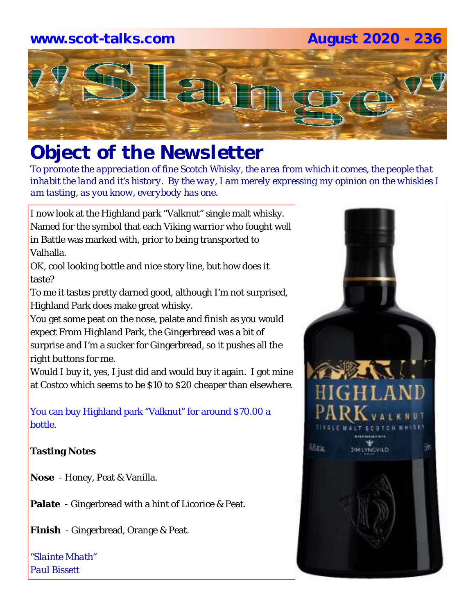## **www.scot-talks.com August 2020 - 236**



# *Object of the Newsletter*

*To promote the appreciation of fine Scotch Whisky, the area from which it comes, the people that inhabit the land and it's history. By the way, I am merely expressing my opinion on the whiskies I am tasting, as you know, everybody has one.* 

I now look at the Highland park "Valknut" single malt whisky. Named for the symbol that each Viking warrior who fought well in Battle was marked with, prior to being transported to Valhalla.

OK, cool looking bottle and nice story line, but how does it taste?

To me it tastes pretty darned good, although I'm not surprised, Highland Park does make great whisky.

You get some peat on the nose, palate and finish as you would expect From Highland Park, the Gingerbread was a bit of surprise and I'm a sucker for Gingerbread, so it pushes all the right buttons for me.

Would I buy it, yes, I just did and would buy it again. I got mine at Costco which seems to be \$10 to \$20 cheaper than elsewhere.

You can buy Highland park "Valknut" for around \$70.00 a bottle.

### **Tasting Notes**

**Nose** - Honey, Peat & Vanilla.

**Palate** - Gingerbread with a hint of Licorice & Peat.

**Finish** - Gingerbread, Orange & Peat.

*"Slainte Mhath" Paul Bissett*

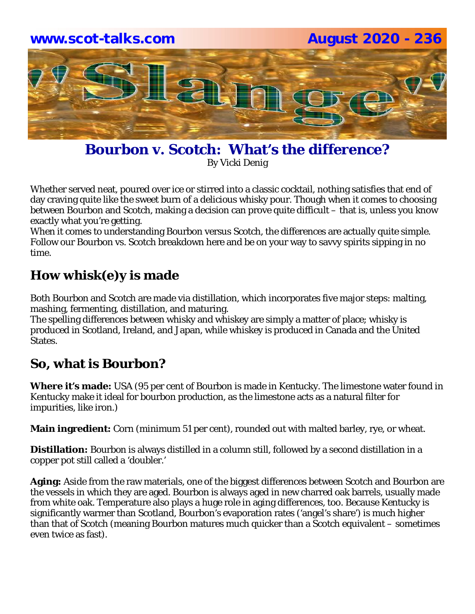

**Bourbon v. Scotch: What's the difference?** By Vicki Denig

Whether served neat, poured over ice or stirred into a classic cocktail, nothing satisfies that end of day craving quite like the sweet burn of a delicious whisky pour. Though when it comes to choosing between Bourbon and Scotch, making a decision can prove quite difficult – that is, unless you know exactly what you're getting.

When it comes to understanding Bourbon versus Scotch, the differences are actually quite simple. Follow our Bourbon vs. Scotch breakdown here and be on your way to savvy spirits sipping in no time.

## **How whisk(e)y is made**

Both Bourbon and Scotch are made via distillation, which incorporates five major steps: malting, mashing, fermenting, distillation, and maturing.

The spelling differences between whisky and whiskey are simply a matter of place; whisky is produced in Scotland, Ireland, and Japan, while whiskey is produced in Canada and the United States.

### **So, what is Bourbon?**

**Where it's made:** USA (95 per cent of Bourbon is made in Kentucky. The limestone water found in Kentucky make it ideal for bourbon production, as the limestone acts as a natural filter for impurities, like iron.)

**Main ingredient:** Corn (minimum 51 per cent), rounded out with malted barley, rye, or wheat.

**Distillation:** Bourbon is always distilled in a column still, followed by a second distillation in a copper pot still called a 'doubler.'

**Aging:** Aside from the raw materials, one of the biggest differences between Scotch and Bourbon are the vessels in which they are aged. Bourbon is always aged in new charred oak barrels, usually made from white oak. Temperature also plays a huge role in aging differences, too. Because Kentucky is significantly warmer than Scotland, Bourbon's evaporation rates ('angel's share') is much higher than that of Scotch (meaning Bourbon matures much quicker than a Scotch equivalent – sometimes even twice as fast).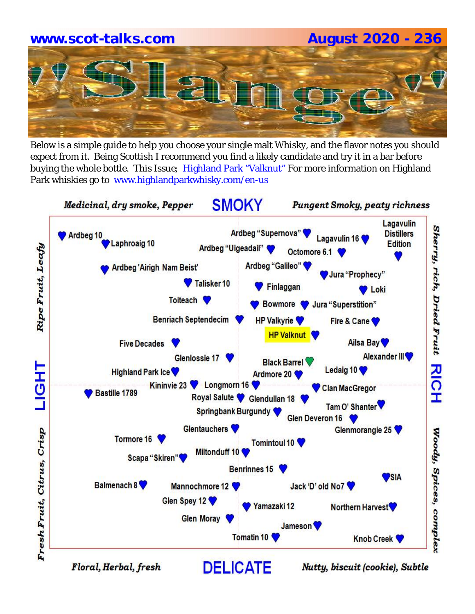# **www.scot-talks.com August 2020 - 236**

Below is a simple guide to help you choose your single malt Whisky, and the flavor notes you should expect from it. Being Scottish I recommend you find a likely candidate and try it in a bar before buying the whole bottle. This Issue; Highland Park "Valknut" For more information on Highland Park whiskies go to www.highlandparkwhisky.com/en-us



Floral, Herbal, fresh

Nutty, biscuit (cookie), Subtle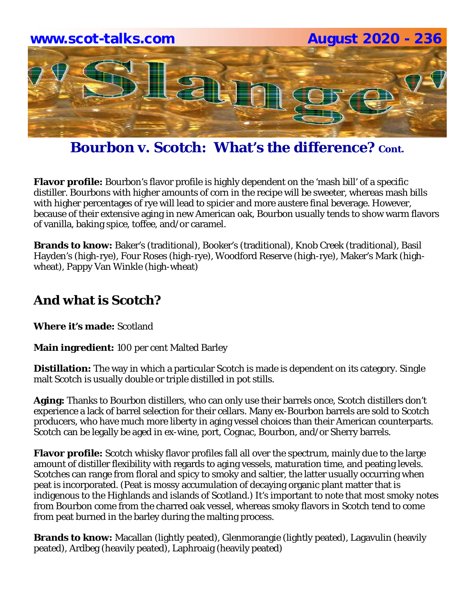

**Bourbon v. Scotch: What's the difference?** Cont.

**Flavor profile:** Bourbon's flavor profile is highly dependent on the 'mash bill' of a specific distiller. Bourbons with higher amounts of corn in the recipe will be sweeter, whereas mash bills with higher percentages of rye will lead to spicier and more austere final beverage. However, because of their extensive aging in new American oak, Bourbon usually tends to show warm flavors of vanilla, baking spice, toffee, and/or caramel.

**Brands to know:** Baker's (traditional), Booker's (traditional), Knob Creek (traditional), Basil Hayden's (high-rye), Four Roses (high-rye), Woodford Reserve (high-rye), Maker's Mark (highwheat), Pappy Van Winkle (high-wheat)

### **And what is Scotch?**

**Where it's made:** Scotland

**Main ingredient:** 100 per cent Malted Barley

**Distillation:** The way in which a particular Scotch is made is dependent on its category. Single malt Scotch is usually double or triple distilled in pot stills.

**Aging:** Thanks to Bourbon distillers, who can only use their barrels once, Scotch distillers don't experience a lack of barrel selection for their cellars. Many ex-Bourbon barrels are sold to Scotch producers, who have much more liberty in aging vessel choices than their American counterparts. Scotch can be legally be aged in ex-wine, port, Cognac, Bourbon, and/or Sherry barrels.

**Flavor profile:** Scotch whisky flavor profiles fall all over the spectrum, mainly due to the large amount of distiller flexibility with regards to aging vessels, maturation time, and peating levels. Scotches can range from floral and spicy to smoky and saltier, the latter usually occurring when peat is incorporated. (Peat is mossy accumulation of decaying organic plant matter that is indigenous to the Highlands and islands of Scotland.) It's important to note that most smoky notes from Bourbon come from the charred oak vessel, whereas smoky flavors in Scotch tend to come from peat burned in the barley during the malting process.

**Brands to know:** Macallan (lightly peated), Glenmorangie (lightly peated), Lagavulin (heavily peated), Ardbeg (heavily peated), Laphroaig (heavily peated)